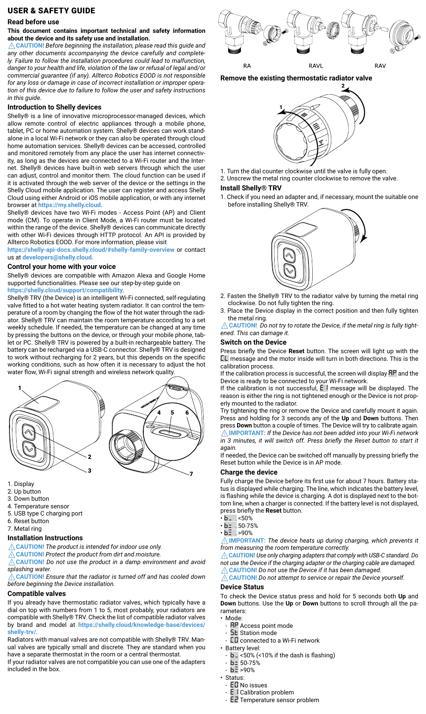## USER & SAFETY GUIDE

#### **Read before use**

#### **This document contains important technical and safety information about the device and its safety use and installation.**

⚠**CAUTION!** *Before beginning the installation, please read this guide and any other documents accompanying the device carefully and completely. Failure to follow the installation procedures could lead to malfunction, danger to your health and life, violation of the law or refusal of legal and/or commercial guarantee (if any). Allterco Robotics EOOD is not responsible for any loss or damage in case of incorrect installation or improper operation of this device due to failure to follow the user and safety instructions in this guide.*

### **Introduction to Shelly devices**

Shelly® is a line of innovative microprocessor-managed devices, which allow remote control of electric appliances through a mobile phone, tablet, PC or home automation system. Shelly® devices can work standalone in a local Wi-Fi network or they can also be operated through cloud home automation services. Shelly® devices can be accessed, controlled and monitored remotely from any place the user has internet connectivity, as long as the devices are connected to a Wi-Fi router and the Internet. Shelly® devices have built-in web servers through which the user can adjust, control and monitor them. The cloud function can be used if it is activated through the web server of the device or the settings in the Shelly Cloud mobile application. The user can register and access Shelly Cloud using either Android or iOS mobile application, or with any internet browser at **https://my.shelly.cloud.**

Shelly® devices have two Wi-Fi modes - Access Point (AP) and Client mode (CM). To operate in Client Mode, a Wi-Fi router must be located within the range of the device. Shelly® devices can communicate directly with other Wi-Fi devices through HTTP protocol. An API is provided by Allterco Robotics EOOD. For more information, please visit

**https://shelly-api-docs.shelly.cloud/#shelly-family-overview** or contact us at **developers@shelly.cloud.**

#### **Control your home with your voice**

Shelly® devices are compatible with Amazon Alexa and Google Home supported functionalities. Please see our step-by-step guide on **https://shelly.cloud/support/compatibility**.

Shelly® TRV (the Device) is an intelligent Wi-Fi connected, self-regulating valve fitted to a hot water heating system radiator. It can control the temperature of a room by changing the flow of the hot water through the radiator. Shelly® TRV can maintain the room temperature according to a set weekly schedule. If needed, the temperature can be changed at any time by pressing the buttons on the device, or through your mobile phone, tablet or PC. Shelly® TRV is powered by a built-in rechargeable battery. The battery can be recharged via a USB-C connector. Shelly® TRV is designed to work without recharging for 2 years, but this depends on the specific working conditions, such as how often it is necessary to adjust the hot water flow, Wi-Fi signal strength and wireless network quality.



- 1. Display
- 2. Up button
- 3. Down button
- 4. Temperature sensor
- 5. USB type C charging port
- 6. Reset button
- 7. Metal ring

#### **Installation Instructions**

⚠**CAUTION!** *The product is intended for indoor use only.*

⚠**CAUTION!** *Protect the product from dirt and moisture.*

⚠**CAUTION!** *Do not use the product in a damp environment and avoid splashing water.*

⚠**CAUTION!** *Ensure that the radiator is turned off and has cooled down before beginning the Device installation.*

## **Compatible valves**

If you already have thermostatic radiator valves, which typically have a dial on top with numbers from 1 to 5, most probably, your radiators are compatible with Shelly® TRV. Check the list of compatible radiator valves by brand and model at **https://shelly.cloud/knowledge-base/devices/ shelly-trv/**.

Radiators with manual valves are not compatible with Shelly® TRV. Manual valves are typically small and discrete. They are standard when you have a separate thermostat in the room or a central thermostat.

If your radiator valves are not compatible you can use one of the adapters included in the box.



**Remove the existing thermostatic radiator valve**



- 1. Turn the dial counter clockwise until the valve is fully open.
- 2. Unscrew the metal ring counter clockwise to remove the valve.

#### **Install Shelly® TRV**

1. Check if you need an adapter and, if necessary, mount the suitable one before installing Shelly® TRV.



- 2. Fasten the Shelly® TRV to the radiator valve by turning the metal ring clockwise. Do not fully tighten the ring.
- 3. Place the Device display in the correct position and then fully tighten the metal ring.

⚠**CAUTION!** *Do not try to rotate the Device, if the metal ring is fully tightened. This can damage it.*

### **Switch on the Device**

Press briefly the Device **Reset** button. The screen will light up with the *CL* message and the motor inside will turn in both directions. This is the calibration process.

If the calibration process is successful, the screen will display *AP* and the Device is ready to be connected to your Wi-Fi network.

If the calibration is not successful, **E** I message will be displayed. The reason is either the ring is not tightened enough or the Device is not properly mounted to the radiator.

Try tightening the ring or remove the Device and carefully mount it again. Press and holding for 3 seconds any of the **Up** and **Down** buttons. Then press **Down** button a couple of times. The Device will try to calibrate again. ⚠**IMPORTANT:** *If the Device has not been added into your Wi-Fi network*   $\overline{\text{in}}$  3 minutes, it will switch off. Press briefly the Reset button to start it *again.*

If needed, the Device can be switched off manually by pressing briefly the Reset button while the Device is in AP mode.

#### **Charge the device**

Fully charge the Device before its first use for about 7 hours. Battery status is displayed while charging. The line, which indicates the battery level, is flashing while the device is charging. A dot is displayed next to the bottom line, when a charger is connected. If the battery level is not displayed, press briefly the **Reset** button.

- *b*\_*.* <50%
- *b=.* 50-75%
- *bX.* >90%

⚠**IMPORTANT:** *The device heats up during charging, which prevents it from measuring the room temperature correctly.*

⚠**CAUTION!** *Use only charging adapters that comply with USB-C standard. Do not use the Device if the charging adapter or the charging cable are damaged.*  ⚠**CAUTION!** *Do not use the Device if it has been damaged.* 

⚠**CAUTION!** *Do not attempt to service or repair the Device yourself.*

#### **Device Status**

To check the Device status press and hold for 5 seconds both **Up** and **Down** buttons. Use the **Up** or **Down** buttons to scroll through all the parameters:

• Mode:

- *AP* Access point mode
- **5<sub>E</sub>** Station mode
- *CO* connected to a Wi-Fi network
- Battery level:
- *b*\_ <50% (<10% if the dash is flashing)
- *b=* 50-75%
- $b = 90%$
- Status:
	- *E0* No issues
	- **E** *I* Calibration problem
	- *E2* Temperature sensor problem